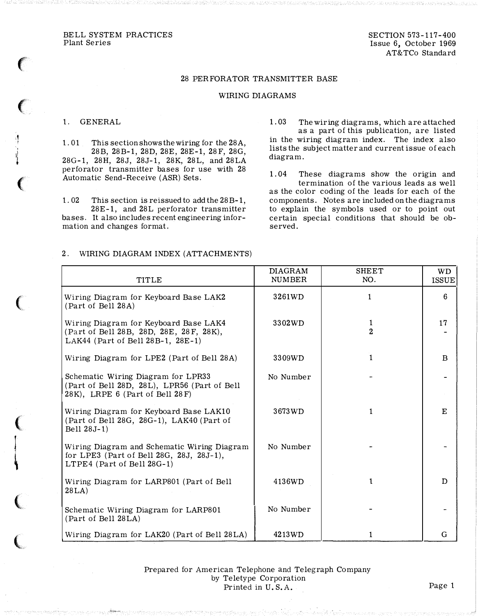## 28 PERFORATOR TRANSMITTER BASE

## WIRING DIAGRAMS

## 1. GENERAL

 $\big($ 

.¶ I ' 1l '&

 $\epsilon$ 

 $\epsilon$ 

 $\overline{C}$ 

 $\int$ 

 $\overline{\mathbf{A}}$ 

 $\ell$ '"

(

1. 01 This section shows the wiring for the 28A, 28B, 28B-1, 28D, 28E, 28E-1, 28F, 28G, 28G-1, 28H, 28J, 28J-1, 28K, 28L, and 28LA perforator transmitter bases for use with 28 Automatic Send-Receive (ASR) Sets.

1. 02 This section is reissued to add the 28B-1,

28E-1, and 28L perforator transmitter bases. It also includes recent engineering information and changes format.

1. 03 The wiring diagrams, which are attached as a part of this publication, are listed in the wiring diagram index. The index also lists the subject matter and current issue of each diagram.

1. 04 These diagrams show the origin and termination of the various leads as well as the color coding of the leads for each of the components. Notes are included on the diagrams to explain the symbols used or to point out certain special conditions that should be observed.

| TITLE                                                                                                                  | <b>DIAGRAM</b><br><b>NUMBER</b> | <b>SHEET</b><br>NO. | WD.<br><b>ISSUE</b> |
|------------------------------------------------------------------------------------------------------------------------|---------------------------------|---------------------|---------------------|
| Wiring Diagram for Keyboard Base LAK2<br>(Part of Bell 28A)                                                            | 3261WD                          | 1                   | 6                   |
| Wiring Diagram for Keyboard Base LAK4<br>(Part of Bell 28B, 28D, 28E, 28F, 28K),<br>LAK44 (Part of Bell 28B-1, 28E-1)  | 3302WD                          | 1<br>$\overline{2}$ | 17                  |
| Wiring Diagram for LPE2 (Part of Bell 28A)                                                                             | 3309WD                          | $\mathbf{1}$        | B                   |
| Schematic Wiring Diagram for LPR33<br>(Part of Bell 28D, 28L), LPR56 (Part of Bell<br>28K), LRPE 6 (Part of Bell 28 F) | No Number                       |                     |                     |
| Wiring Diagram for Keyboard Base LAK10<br>(Part of Bell 28G, 28G-1), LAK40 (Part of<br>Bell 28J-1)                     | 3673WD                          | $\mathbf{1}$        | F.                  |
| Wiring Diagram and Schematic Wiring Diagram<br>for LPE3 (Part of Bell 28G, 28J, 28J-1),<br>LTPE4 (Part of Bell 28G-1)  | No Number                       |                     |                     |
| Wiring Diagram for LARP801 (Part of Bell<br>28LA)                                                                      | 4136WD                          | 1                   | D                   |
| Schematic Wiring Diagram for LARP801<br>(Part of Bell 28LA)                                                            | No Number                       |                     |                     |
| Wiring Diagram for LAK20 (Part of Bell 28LA)                                                                           | 4213WD                          | 1                   | G                   |

2. WIRING DIAGRAM INDEX (ATTACHMENTS)

## Prepared for American Telephone and Telegraph Company by Teletype Corporation Printed in U.S.A. Page 1